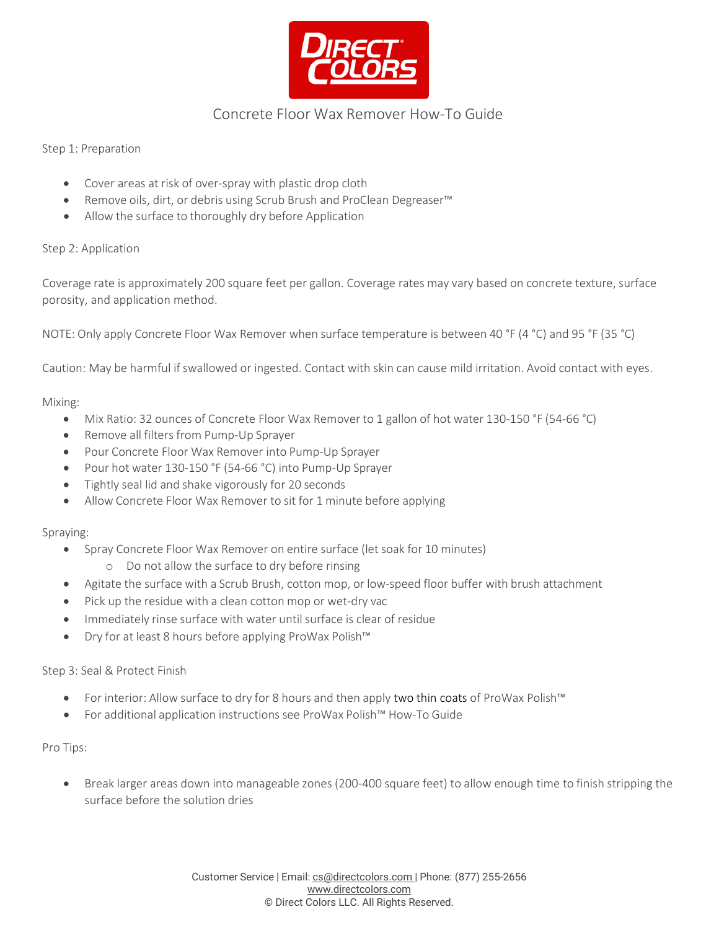

# Concrete Floor Wax Remover How-To Guide

Step 1: Preparation

- Cover areas at risk of over-spray with plastic drop cloth
- Remove oils, dirt, or debris using Scrub Brush and ProClean Degreaser™
- Allow the surface to thoroughly dry before Application

# Step 2: Application

Coverage rate is approximately 200 square feet per gallon. Coverage rates may vary based on concrete texture, surface porosity, and application method.

NOTE: Only apply Concrete Floor Wax Remover when surface temperature is between 40 °F (4 °C) and 95 °F (35 °C)

Caution: May be harmful if swallowed or ingested. Contact with skin can cause mild irritation. Avoid contact with eyes.

#### Mixing:

- Mix Ratio: 32 ounces of Concrete Floor Wax Remover to 1 gallon of hot water 130-150 °F (54-66 °C)
- Remove all filters from Pump-Up Sprayer
- Pour Concrete Floor Wax Remover into Pump-Up Sprayer
- Pour hot water 130-150 °F (54-66 °C) into Pump-Up Sprayer
- Tightly seal lid and shake vigorously for 20 seconds
- Allow Concrete Floor Wax Remover to sit for 1 minute before applying

#### Spraying:

- Spray Concrete Floor Wax Remover on entire surface (let soak for 10 minutes)
	- o Do not allow the surface to dry before rinsing
- Agitate the surface with a Scrub Brush, cotton mop, or low-speed floor buffer with brush attachment
- Pick up the residue with a clean cotton mop or wet-dry vac
- Immediately rinse surface with water until surface is clear of residue
- Dry for at least 8 hours before applying ProWax Polish™

# Step 3: Seal & Protect Finish

- For interior: Allow surface to dry for 8 hours and then apply two thin coats of ProWax Polish™
- For additional application instructions see ProWax Polish™ How-To Guide

#### Pro Tips:

• Break larger areas down into manageable zones (200-400 square feet) to allow enough time to finish stripping the surface before the solution dries